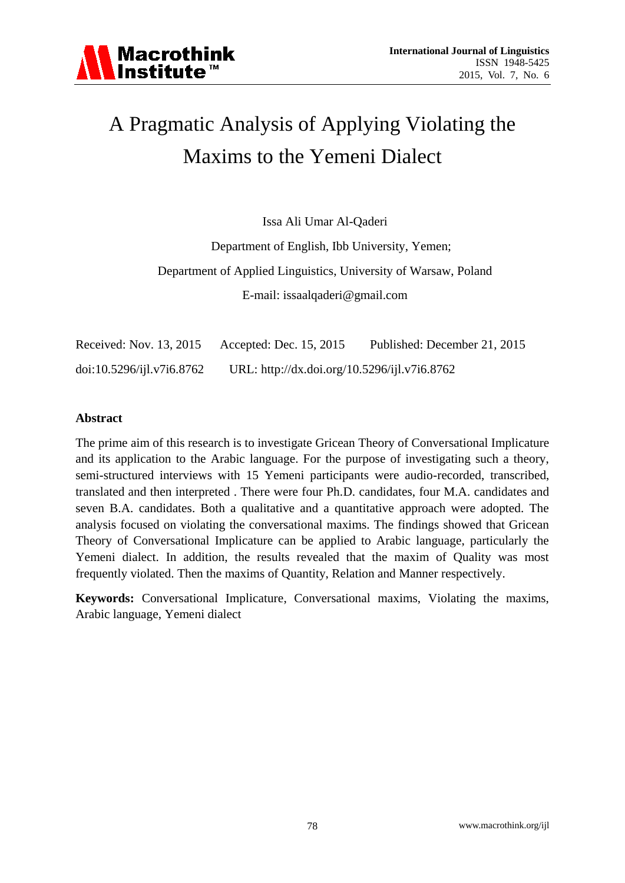

# A Pragmatic Analysis of Applying Violating the Maxims to the Yemeni Dialect

Issa Ali Umar Al-Qaderi

 Department of English, Ibb University, Yemen; Department of Applied Linguistics, University of Warsaw, Poland E-mail: issaalqaderi@gmail.com

| Received: Nov. 13, 2015   | Accepted: Dec. 15, 2015                      | Published: December 21, 2015 |
|---------------------------|----------------------------------------------|------------------------------|
| doi:10.5296/ijl.v7i6.8762 | URL: http://dx.doi.org/10.5296/ijl.v7i6.8762 |                              |

#### **Abstract**

The prime aim of this research is to investigate Gricean Theory of Conversational Implicature and its application to the Arabic language. For the purpose of investigating such a theory, semi-structured interviews with 15 Yemeni participants were audio-recorded, transcribed, translated and then interpreted . There were four Ph.D. candidates, four M.A. candidates and seven B.A. candidates. Both a qualitative and a quantitative approach were adopted. The analysis focused on violating the conversational maxims. The findings showed that Gricean Theory of Conversational Implicature can be applied to Arabic language, particularly the Yemeni dialect. In addition, the results revealed that the maxim of Quality was most frequently violated. Then the maxims of Quantity, Relation and Manner respectively.

**Keywords:** Conversational Implicature, Conversational maxims, Violating the maxims, Arabic language, Yemeni dialect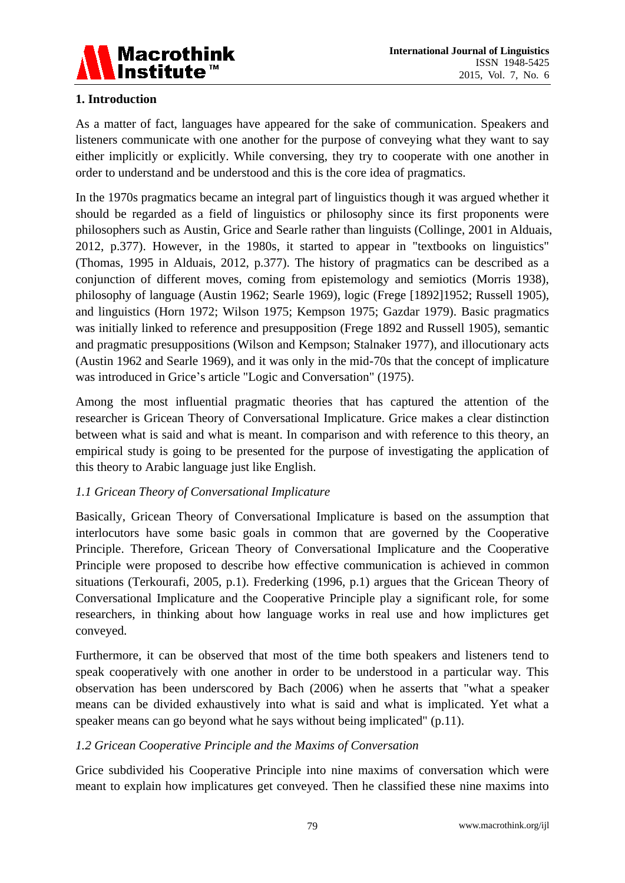

# **1. Introduction**

As a matter of fact, languages have appeared for the sake of communication. Speakers and listeners communicate with one another for the purpose of conveying what they want to say either implicitly or explicitly. While conversing, they try to cooperate with one another in order to understand and be understood and this is the core idea of pragmatics.

In the 1970s pragmatics became an integral part of linguistics though it was argued whether it should be regarded as a field of linguistics or philosophy since its first proponents were philosophers such as Austin, Grice and Searle rather than linguists (Collinge, 2001 in Alduais, 2012, p.377). However, in the 1980s, it started to appear in "textbooks on linguistics" (Thomas, 1995 in Alduais, 2012, p.377). The history of pragmatics can be described as a conjunction of different moves, coming from epistemology and semiotics (Morris 1938), philosophy of language (Austin 1962; Searle 1969), logic (Frege [1892]1952; Russell 1905), and linguistics (Horn 1972; Wilson 1975; Kempson 1975; Gazdar 1979). Basic pragmatics was initially linked to reference and presupposition (Frege 1892 and Russell 1905), semantic and pragmatic presuppositions (Wilson and Kempson; Stalnaker 1977), and illocutionary acts (Austin 1962 and Searle 1969), and it was only in the mid-70s that the concept of implicature was introduced in Grice's article "Logic and Conversation" (1975).

Among the most influential pragmatic theories that has captured the attention of the researcher is Gricean Theory of Conversational Implicature. Grice makes a clear distinction between what is said and what is meant. In comparison and with reference to this theory, an empirical study is going to be presented for the purpose of investigating the application of this theory to Arabic language just like English.

## *1.1 Gricean Theory of Conversational Implicature*

Basically, Gricean Theory of Conversational Implicature is based on the assumption that interlocutors have some basic goals in common that are governed by the Cooperative Principle. Therefore, Gricean Theory of Conversational Implicature and the Cooperative Principle were proposed to describe how effective communication is achieved in common situations (Terkourafi, 2005, p.1). Frederking (1996, p.1) argues that the Gricean Theory of Conversational Implicature and the Cooperative Principle play a significant role, for some researchers, in thinking about how language works in real use and how implictures get conveyed.

Furthermore, it can be observed that most of the time both speakers and listeners tend to speak cooperatively with one another in order to be understood in a particular way. This observation has been underscored by Bach (2006) when he asserts that "what a speaker means can be divided exhaustively into what is said and what is implicated. Yet what a speaker means can go beyond what he says without being implicated" (p.11).

## *1.2 Gricean Cooperative Principle and the Maxims of Conversation*

Grice subdivided his Cooperative Principle into nine maxims of conversation which were meant to explain how implicatures get conveyed. Then he classified these nine maxims into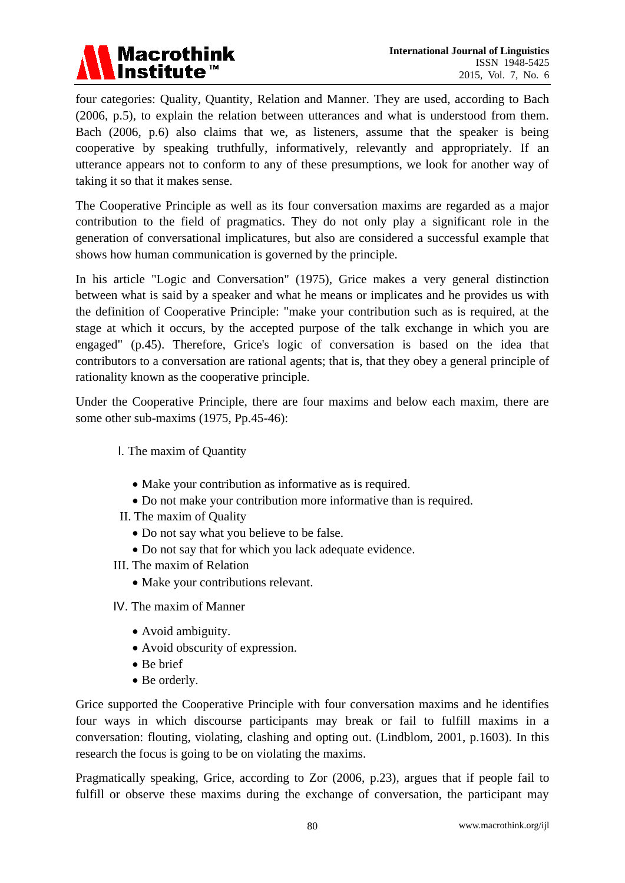

four categories: Quality, Quantity, Relation and Manner. They are used, according to Bach (2006, p.5), to explain the relation between utterances and what is understood from them. Bach (2006, p.6) also claims that we, as listeners, assume that the speaker is being cooperative by speaking truthfully, informatively, relevantly and appropriately. If an utterance appears not to conform to any of these presumptions, we look for another way of taking it so that it makes sense.

The Cooperative Principle as well as its four conversation maxims are regarded as a major contribution to the field of pragmatics. They do not only play a significant role in the generation of conversational implicatures, but also are considered a successful example that shows how human communication is governed by the principle.

In his article "Logic and Conversation" (1975), Grice makes a very general distinction between what is said by a speaker and what he means or implicates and he provides us with the definition of Cooperative Principle: "make your contribution such as is required, at the stage at which it occurs, by the accepted purpose of the talk exchange in which you are engaged" (p.45). Therefore, Grice's logic of conversation is based on the idea that contributors to a conversation are rational agents; that is, that they obey a general principle of rationality known as the cooperative principle.

Under the Cooperative Principle, there are four maxims and below each maxim, there are some other sub-maxims (1975, Pp.45-46):

I. The maxim of Quantity

- Make your contribution as informative as is required.
- Do not make your contribution more informative than is required.
- II. The maxim of Quality
	- Do not say what you believe to be false.
	- Do not say that for which you lack adequate evidence.
- III. The maxim of Relation
	- Make your contributions relevant.
- IV. The maxim of Manner
	- Avoid ambiguity.
	- Avoid obscurity of expression.
	- Be brief
	- Be orderly.

Grice supported the Cooperative Principle with four conversation maxims and he identifies four ways in which discourse participants may break or fail to fulfill maxims in a conversation: flouting, violating, clashing and opting out. (Lindblom, 2001, p.1603). In this research the focus is going to be on violating the maxims.

Pragmatically speaking, Grice, according to Zor (2006, p.23), argues that if people fail to fulfill or observe these maxims during the exchange of conversation, the participant may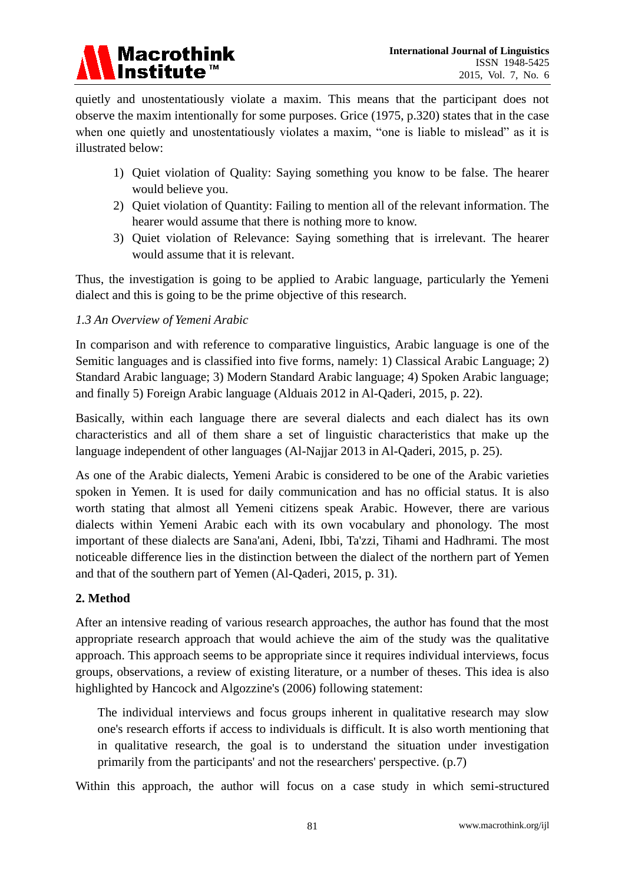

quietly and unostentatiously violate a maxim. This means that the participant does not observe the maxim intentionally for some purposes. Grice (1975, p.320) states that in the case when one quietly and unostentatiously violates a maxim, "one is liable to mislead" as it is illustrated below:

- 1) Quiet violation of Quality: Saying something you know to be false. The hearer would believe you.
- 2) Quiet violation of Quantity: Failing to mention all of the relevant information. The hearer would assume that there is nothing more to know.
- 3) Quiet violation of Relevance: Saying something that is irrelevant. The hearer would assume that it is relevant.

Thus, the investigation is going to be applied to Arabic language, particularly the Yemeni dialect and this is going to be the prime objective of this research.

## *1.3 An Overview of Yemeni Arabic*

In comparison and with reference to comparative linguistics, Arabic language is one of the Semitic languages and is classified into five forms, namely: 1) Classical Arabic Language; 2) Standard Arabic language; 3) Modern Standard Arabic language; 4) Spoken Arabic language; and finally 5) Foreign Arabic language (Alduais 2012 in Al-Qaderi, 2015, p. 22).

Basically, within each language there are several dialects and each dialect has its own characteristics and all of them share a set of linguistic characteristics that make up the language independent of other languages (Al-Najjar 2013 in Al-Qaderi, 2015, p. 25).

As one of the Arabic dialects, Yemeni Arabic is considered to be one of the Arabic varieties spoken in Yemen. It is used for daily communication and has no official status. It is also worth stating that almost all Yemeni citizens speak Arabic. However, there are various dialects within Yemeni Arabic each with its own vocabulary and phonology. The most important of these dialects are Sana'ani, Adeni, Ibbi, Ta'zzi, Tihami and Hadhrami. The most noticeable difference lies in the distinction between the dialect of the northern part of Yemen and that of the southern part of Yemen (Al-Qaderi, 2015, p. 31).

## **2. Method**

After an intensive reading of various research approaches, the author has found that the most appropriate research approach that would achieve the aim of the study was the qualitative approach. This approach seems to be appropriate since it requires individual interviews, focus groups, observations, a review of existing literature, or a number of theses. This idea is also highlighted by Hancock and Algozzine's (2006) following statement:

The individual interviews and focus groups inherent in qualitative research may slow one's research efforts if access to individuals is difficult. It is also worth mentioning that in qualitative research, the goal is to understand the situation under investigation primarily from the participants' and not the researchers' perspective. (p.7)

Within this approach, the author will focus on a case study in which semi-structured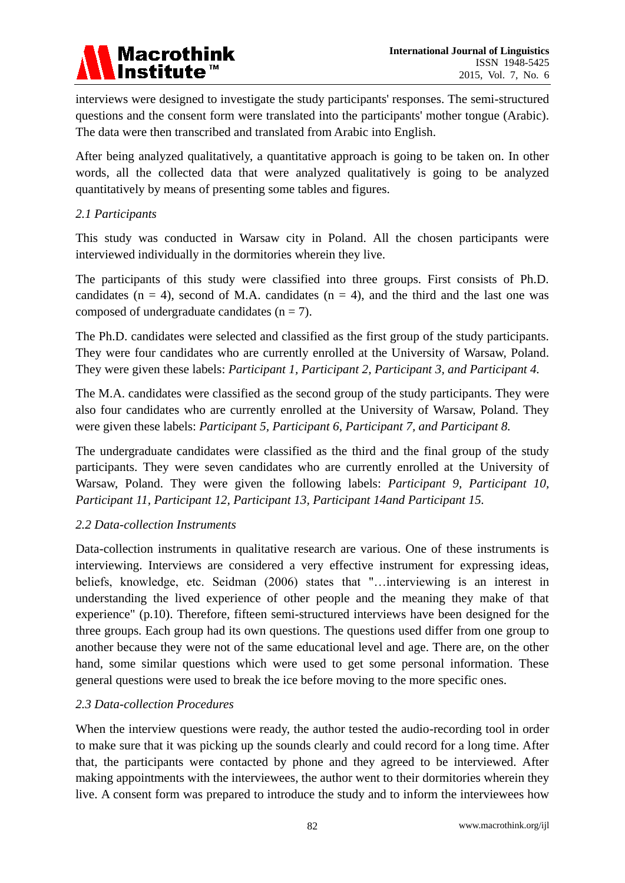

interviews were designed to investigate the study participants' responses. The semi-structured questions and the consent form were translated into the participants' mother tongue (Arabic). The data were then transcribed and translated from Arabic into English.

After being analyzed qualitatively, a quantitative approach is going to be taken on. In other words, all the collected data that were analyzed qualitatively is going to be analyzed quantitatively by means of presenting some tables and figures.

## *2.1 Participants*

This study was conducted in Warsaw city in Poland. All the chosen participants were interviewed individually in the dormitories wherein they live.

The participants of this study were classified into three groups. First consists of Ph.D. candidates (n = 4), second of M.A. candidates (n = 4), and the third and the last one was composed of undergraduate candidates  $(n = 7)$ .

The Ph.D. candidates were selected and classified as the first group of the study participants. They were four candidates who are currently enrolled at the University of Warsaw, Poland. They were given these labels: *Participant 1, Participant 2, Participant 3, and Participant 4.* 

The M.A. candidates were classified as the second group of the study participants. They were also four candidates who are currently enrolled at the University of Warsaw, Poland. They were given these labels: *Participant 5, Participant 6, Participant 7, and Participant 8.*

The undergraduate candidates were classified as the third and the final group of the study participants. They were seven candidates who are currently enrolled at the University of Warsaw, Poland. They were given the following labels: *Participant 9, Participant 10, Participant 11, Participant 12, Participant 13, Participant 14and Participant 15.* 

## *2.2 Data-collection Instruments*

Data-collection instruments in qualitative research are various. One of these instruments is interviewing. Interviews are considered a very effective instrument for expressing ideas, beliefs, knowledge, etc. Seidman (2006) states that "…interviewing is an interest in understanding the lived experience of other people and the meaning they make of that experience" (p.10). Therefore, fifteen semi-structured interviews have been designed for the three groups. Each group had its own questions. The questions used differ from one group to another because they were not of the same educational level and age. There are, on the other hand, some similar questions which were used to get some personal information. These general questions were used to break the ice before moving to the more specific ones.

## *2.3 Data-collection Procedures*

When the interview questions were ready, the author tested the audio-recording tool in order to make sure that it was picking up the sounds clearly and could record for a long time. After that, the participants were contacted by phone and they agreed to be interviewed. After making appointments with the interviewees, the author went to their dormitories wherein they live. A consent form was prepared to introduce the study and to inform the interviewees how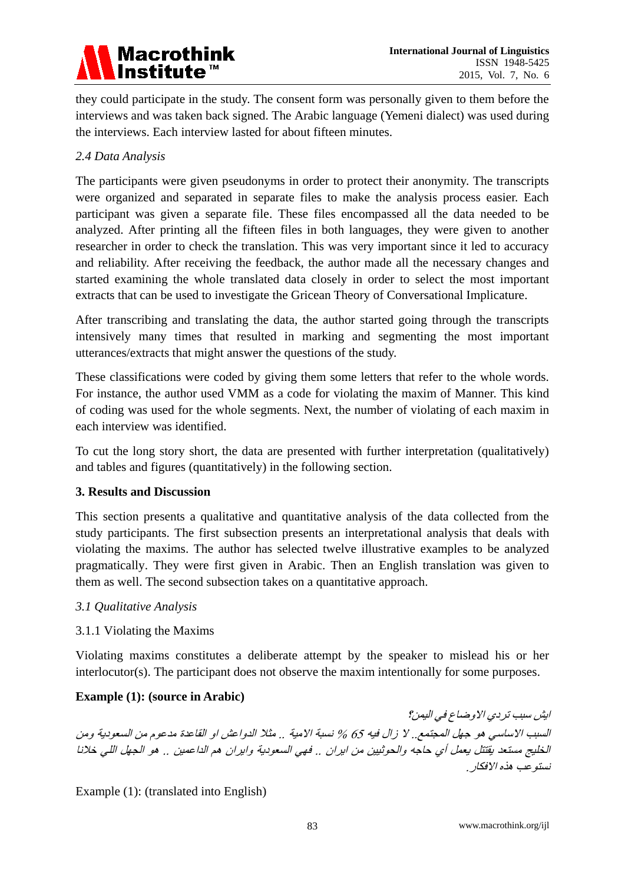

they could participate in the study. The consent form was personally given to them before the interviews and was taken back signed. The Arabic language (Yemeni dialect) was used during the interviews. Each interview lasted for about fifteen minutes.

# *2.4 Data Analysis*

The participants were given pseudonyms in order to protect their anonymity. The transcripts were organized and separated in separate files to make the analysis process easier. Each participant was given a separate file. These files encompassed all the data needed to be analyzed. After printing all the fifteen files in both languages, they were given to another researcher in order to check the translation. This was very important since it led to accuracy and reliability. After receiving the feedback, the author made all the necessary changes and started examining the whole translated data closely in order to select the most important extracts that can be used to investigate the Gricean Theory of Conversational Implicature.

After transcribing and translating the data, the author started going through the transcripts intensively many times that resulted in marking and segmenting the most important utterances/extracts that might answer the questions of the study.

These classifications were coded by giving them some letters that refer to the whole words. For instance, the author used VMM as a code for violating the maxim of Manner. This kind of coding was used for the whole segments. Next, the number of violating of each maxim in each interview was identified.

To cut the long story short, the data are presented with further interpretation (qualitatively) and tables and figures (quantitatively) in the following section.

## **3. Results and Discussion**

This section presents a qualitative and quantitative analysis of the data collected from the study participants. The first subsection presents an interpretational analysis that deals with violating the maxims. The author has selected twelve illustrative examples to be analyzed pragmatically. They were first given in Arabic. Then an English translation was given to them as well. The second subsection takes on a quantitative approach.

## *3.1 Qualitative Analysis*

## 3.1.1 Violating the Maxims

Violating maxims constitutes a deliberate attempt by the speaker to mislead his or her interlocutor(s). The participant does not observe the maxim intentionally for some purposes.

## **Example (1): (source in Arabic)**

ايش سبب تردي الإوضاع في اليمن؟ السبب االساسي هو جهل المجتمع.. ال زال فيه 56 % نسبة االمية .. مثال الدواعش او القاعدة مدعوم من السعودية ومن الخليج مستعد يقتتل يعمل أي حاجه والحوثيين من ايران .. فهي السعودية وايران هم الداعمين .. هو الجهل اللي خالنا نستوعب هذه االفكار.

Example (1): (translated into English)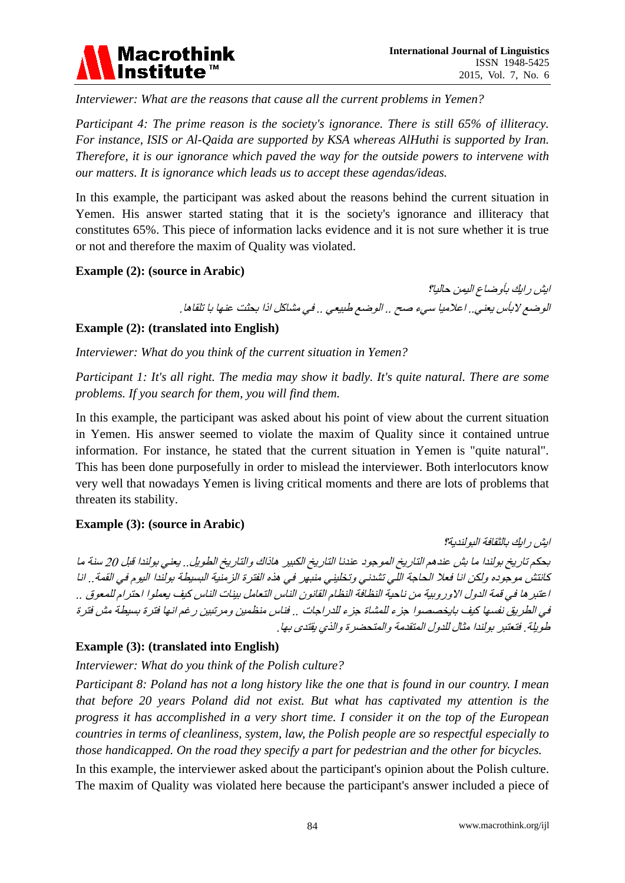

*Interviewer: What are the reasons that cause all the current problems in Yemen?*

*Participant 4: The prime reason is the society's ignorance. There is still 65% of illiteracy. For instance, ISIS or Al-Qaida are supported by KSA whereas AlHuthi is supported by Iran. Therefore, it is our ignorance which paved the way for the outside powers to intervene with our matters. It is ignorance which leads us to accept these agendas/ideas.* 

In this example, the participant was asked about the reasons behind the current situation in Yemen. His answer started stating that it is the society's ignorance and illiteracy that constitutes 65%. This piece of information lacks evidence and it is not sure whether it is true or not and therefore the maxim of Quality was violated.

**Example (2): (source in Arabic)**

ايش رايك بأوضاع اليمن حاليا؟ الوضع لابأس يعني.. اعلاميا سيء صح .. الوضع طبيعي .. في مشاكل اذا بحثت عنها با تلقاها.

## **Example (2): (translated into English)**

*Interviewer: What do you think of the current situation in Yemen?*

*Participant 1: It's all right. The media may show it badly. It's quite natural. There are some problems. If you search for them, you will find them.*

In this example, the participant was asked about his point of view about the current situation in Yemen. His answer seemed to violate the maxim of Quality since it contained untrue information. For instance, he stated that the current situation in Yemen is "quite natural". This has been done purposefully in order to mislead the interviewer. Both interlocutors know very well that nowadays Yemen is living critical moments and there are lots of problems that threaten its stability.

## **Example (3): (source in Arabic)**

ايش رايك بالثقافة البولندية؟

بحكم تاريخ بولندا ما بش عندهم التاريخ الموجود عندنا التاريخ الكبير هاذاك والتاريخ الطويل.. يعني بولندا قبل 02 سنة ما كانتش موجوده ولكن انا فعال الحاجة اللي تشدني وتخليني منبهر في هذه الفترة الزمنية البسيطة بولندا اليوم في القمة.. انا اعتبرها في قمة الدول الإوروبية من ناحية النظافة النظام القانون الناس التعامل بينات الناس كيف يعملوا احتر ام للمعوق .. في الطريق نفسها كيف بايخصصوا جزء للمشاة جزء للدراجات .. فناس منظمين ومرتبين رغم انها فترة بسيطة مش فترة طويلة. فتعتبر بولندا مثال للدول المتقدمة والمتحضرة والذي يقتدى بها.

## **Example (3): (translated into English)**

*Interviewer: What do you think of the Polish culture?*

*Participant 8: Poland has not a long history like the one that is found in our country. I mean that before 20 years Poland did not exist. But what has captivated my attention is the progress it has accomplished in a very short time. I consider it on the top of the European countries in terms of cleanliness, system, law, the Polish people are so respectful especially to those handicapped. On the road they specify a part for pedestrian and the other for bicycles.*

In this example, the interviewer asked about the participant's opinion about the Polish culture. The maxim of Quality was violated here because the participant's answer included a piece of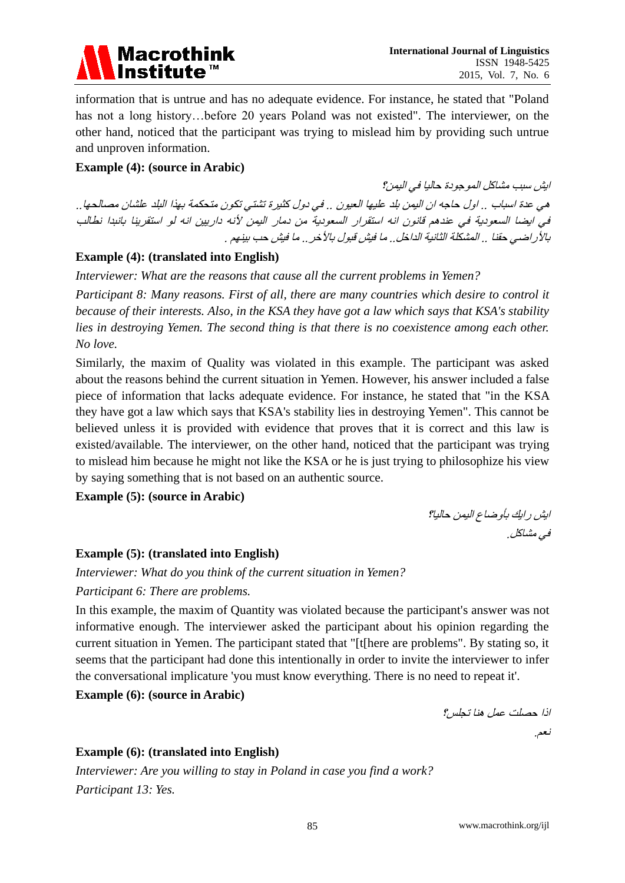

information that is untrue and has no adequate evidence. For instance, he stated that "Poland has not a long history...before 20 years Poland was not existed". The interviewer, on the other hand, noticed that the participant was trying to mislead him by providing such untrue and unproven information.

## **Example (4): (source in Arabic)**

ايش سبب مشاكل الموجودة حاليا في اليمن؟ هي عدة اسباب .. اول حاجه ان اليمن بلد عليها العيون .. في دول كثيرة تشتي تكون متحكمة بهذا البلد علشان مصالحها.. في ايضا السعودية في عندهم قانون انه استقرار السعودية من دمار اليمن ألنه داريين انه لو استقرينا بانبدا نطالب باألراضي حقنا .. المشكلة الثانية الداخل.. ما فيش قبول باألخر.. ما فيش حب بينهم .

# **Example (4): (translated into English)**

*Interviewer: What are the reasons that cause all the current problems in Yemen?*

*Participant 8: Many reasons. First of all, there are many countries which desire to control it because of their interests. Also, in the KSA they have got a law which says that KSA's stability lies in destroying Yemen. The second thing is that there is no coexistence among each other. No love.*

Similarly, the maxim of Quality was violated in this example. The participant was asked about the reasons behind the current situation in Yemen. However, his answer included a false piece of information that lacks adequate evidence. For instance, he stated that "in the KSA they have got a law which says that KSA's stability lies in destroying Yemen". This cannot be believed unless it is provided with evidence that proves that it is correct and this law is existed/available. The interviewer, on the other hand, noticed that the participant was trying to mislead him because he might not like the KSA or he is just trying to philosophize his view by saying something that is not based on an authentic source.

**Example (5): (source in Arabic)**

ايش رايك بأوضاع اليمن حاليا؟ في مشاكل.

# **Example (5): (translated into English)**

*Interviewer: What do you think of the current situation in Yemen?*

*Participant 6: There are problems.*

In this example, the maxim of Quantity was violated because the participant's answer was not informative enough. The interviewer asked the participant about his opinion regarding the current situation in Yemen. The participant stated that "[t[here are problems". By stating so, it seems that the participant had done this intentionally in order to invite the interviewer to infer the conversational implicature 'you must know everything. There is no need to repeat it'.

**Example (6): (source in Arabic)**

اذا حصلت عمل هنا تجلس؟ نعم.

## **Example (6): (translated into English)**

*Interviewer: Are you willing to stay in Poland in case you find a work? Participant 13: Yes.*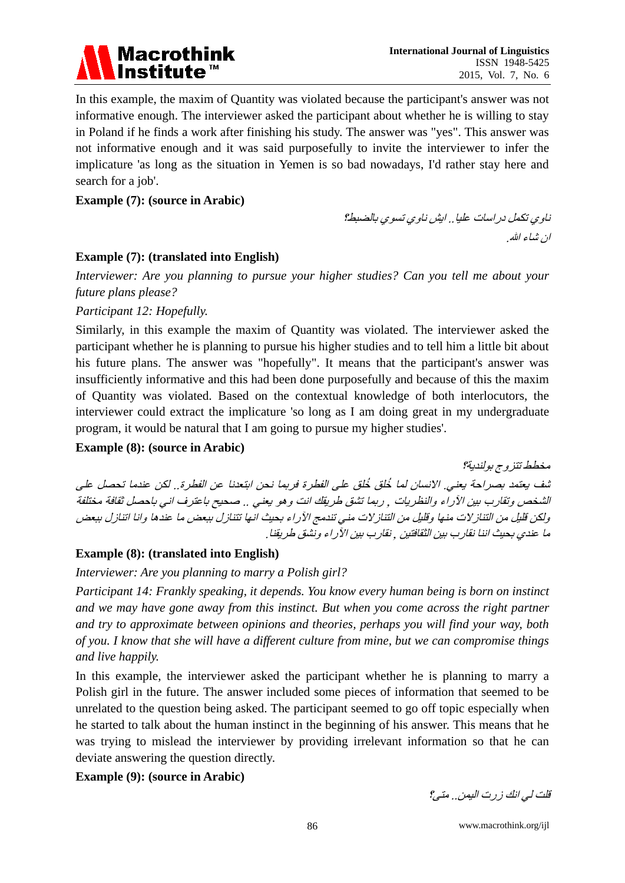

In this example, the maxim of Quantity was violated because the participant's answer was not informative enough. The interviewer asked the participant about whether he is willing to stay in Poland if he finds a work after finishing his study. The answer was "yes". This answer was not informative enough and it was said purposefully to invite the interviewer to infer the implicature 'as long as the situation in Yemen is so bad nowadays, I'd rather stay here and search for a job'.

**Example (7): (source in Arabic)**

ناوي تكمل دراسات عليا.. ايش ناوي تسوي بالضبط؟ ان شاء الله

## **Example (7): (translated into English)**

*Interviewer: Are you planning to pursue your higher studies? Can you tell me about your future plans please?*

*Participant 12: Hopefully.*

Similarly, in this example the maxim of Quantity was violated. The interviewer asked the participant whether he is planning to pursue his higher studies and to tell him a little bit about his future plans. The answer was "hopefully". It means that the participant's answer was insufficiently informative and this had been done purposefully and because of this the maxim of Quantity was violated. Based on the contextual knowledge of both interlocutors, the interviewer could extract the implicature 'so long as I am doing great in my undergraduate program, it would be natural that I am going to pursue my higher studies'.

## **Example (8): (source in Arabic)**

مخطط تتزوج بولندية؟

شف يعتمد بصراحة يعني. االنسان لما ُخلق ُخلق على الفطرة فربما نحن ابتعدنا عن الفطرة.. لكن عندما تحصل على الشخص وتقارب بين اآلراء والنظريات , ربما تشق طريقك انت وهو يعني .. صحيح باعترف اني باحصل ثقافة مختلفة ولكن قليل من التنازالت منها وقليل من التنازالت مني تندمج اآلراء بحيث انها تتنازل ببعض ما عندها وانا اتنازل ببعض ما عندي بحيث اننا نقارب بين الثقافتين , نقارب بين اآلراء ونشق طريقنا.

# **Example (8): (translated into English)**

*Interviewer: Are you planning to marry a Polish girl?*

*Participant 14: Frankly speaking, it depends. You know every human being is born on instinct and we may have gone away from this instinct. But when you come across the right partner and try to approximate between opinions and theories, perhaps you will find your way, both of you. I know that she will have a different culture from mine, but we can compromise things and live happily.*

In this example, the interviewer asked the participant whether he is planning to marry a Polish girl in the future. The answer included some pieces of information that seemed to be unrelated to the question being asked. The participant seemed to go off topic especially when he started to talk about the human instinct in the beginning of his answer. This means that he was trying to mislead the interviewer by providing irrelevant information so that he can deviate answering the question directly.

## **Example (9): (source in Arabic)**

قلت لي انك زرت اليمن.. متى؟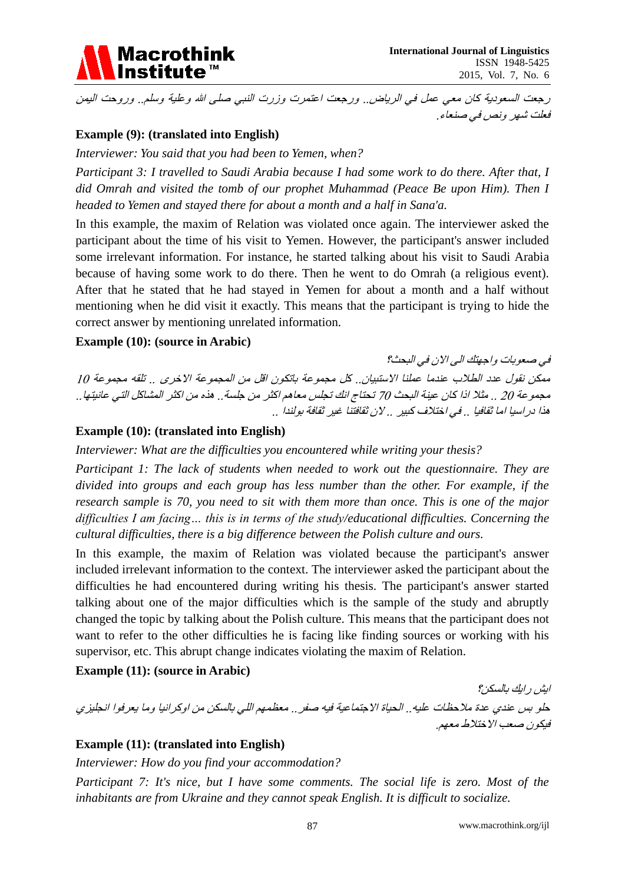

رجعت السعودية كان معي عمل في الرياض.. ورجعت اعتمرت وزرت النبي صلى هللا وعلية وسلم.. وروحت اليمن فعلت شهر ونص في صنعاء.

# **Example (9): (translated into English)**

*Interviewer: You said that you had been to Yemen, when?*

*Participant 3: I travelled to Saudi Arabia because I had some work to do there. After that, I did Omrah and visited the tomb of our prophet Muhammad (Peace Be upon Him). Then I headed to Yemen and stayed there for about a month and a half in Sana'a.*

In this example, the maxim of Relation was violated once again. The interviewer asked the participant about the time of his visit to Yemen. However, the participant's answer included some irrelevant information. For instance, he started talking about his visit to Saudi Arabia because of having some work to do there. Then he went to do Omrah (a religious event). After that he stated that he had stayed in Yemen for about a month and a half without mentioning when he did visit it exactly. This means that the participant is trying to hide the correct answer by mentioning unrelated information.

## **Example (10): (source in Arabic)**

في صعوبات واجهتك الى االن في البحث؟ ممكن نقول عدد الطالب عندما عملنا االستبيان.. كل مجموعة باتكون اقل من المجموعة االخرى .. تلقه مجموعة 02 مجموعة 02 .. مثال اذا كان عينة البحث 02 تحتاج انك تجلس معاهم اكثر من جلسة.. هذه من اكثر المشاكل التي عانيتها.. هذا در اسيا اما ثقافيا .. في اختلاف كبير .. الإن ثقافتنا غير ثقافة بولندا

## **Example (10): (translated into English)**

*Interviewer: What are the difficulties you encountered while writing your thesis?*

*Participant 1: The lack of students when needed to work out the questionnaire. They are divided into groups and each group has less number than the other. For example, if the research sample is 70, you need to sit with them more than once. This is one of the major difficulties I am facing… this is in terms of the study/educational difficulties. Concerning the cultural difficulties, there is a big difference between the Polish culture and ours.*

In this example, the maxim of Relation was violated because the participant's answer included irrelevant information to the context. The interviewer asked the participant about the difficulties he had encountered during writing his thesis. The participant's answer started talking about one of the major difficulties which is the sample of the study and abruptly changed the topic by talking about the Polish culture. This means that the participant does not want to refer to the other difficulties he is facing like finding sources or working with his supervisor, etc. This abrupt change indicates violating the maxim of Relation.

## **Example (11): (source in Arabic)**

ايش رايك بالسكن؟ حلو بس عندي عدة مالحظات عليه.. الحياة االجتماعية فيه صفر.. معظمهم اللي بالسكن من اوكرانيا وما يعرفوا انجليزي فيكون صعب االختالط معهم.

## **Example (11): (translated into English)**

*Interviewer: How do you find your accommodation?*

*Participant 7: It's nice, but I have some comments. The social life is zero. Most of the inhabitants are from Ukraine and they cannot speak English. It is difficult to socialize.*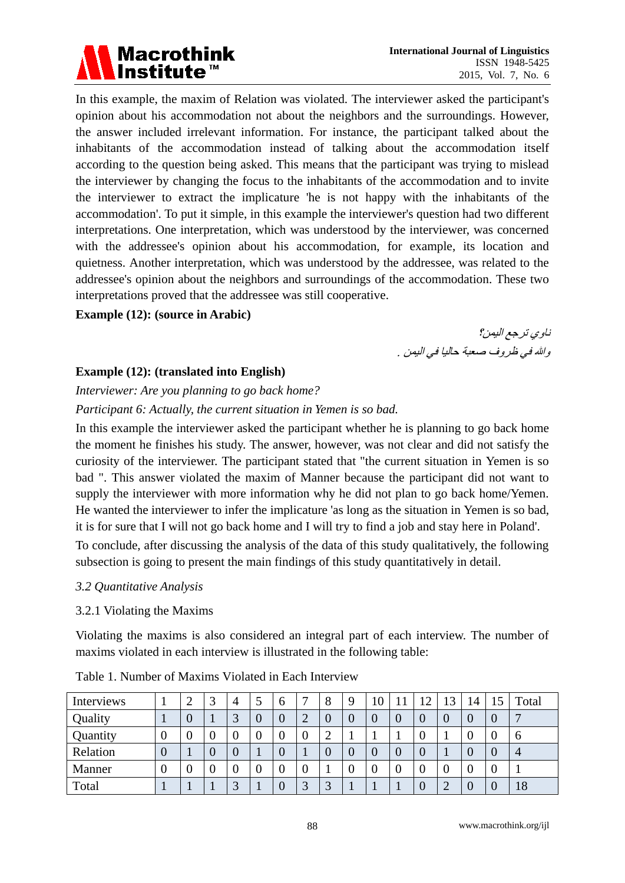

In this example, the maxim of Relation was violated. The interviewer asked the participant's opinion about his accommodation not about the neighbors and the surroundings. However, the answer included irrelevant information. For instance, the participant talked about the inhabitants of the accommodation instead of talking about the accommodation itself according to the question being asked. This means that the participant was trying to mislead the interviewer by changing the focus to the inhabitants of the accommodation and to invite the interviewer to extract the implicature 'he is not happy with the inhabitants of the accommodation'. To put it simple, in this example the interviewer's question had two different interpretations. One interpretation, which was understood by the interviewer, was concerned with the addressee's opinion about his accommodation, for example, its location and quietness. Another interpretation, which was understood by the addressee, was related to the addressee's opinion about the neighbors and surroundings of the accommodation. These two interpretations proved that the addressee was still cooperative.

#### **Example (12): (source in Arabic)**

ناوي ترجع اليمن؟ والله في ظروف صعبة حاليا في اليمن

#### **Example (12): (translated into English)**

#### *Interviewer: Are you planning to go back home?*

#### *Participant 6: Actually, the current situation in Yemen is so bad.*

In this example the interviewer asked the participant whether he is planning to go back home the moment he finishes his study. The answer, however, was not clear and did not satisfy the curiosity of the interviewer. The participant stated that "the current situation in Yemen is so bad ". This answer violated the maxim of Manner because the participant did not want to supply the interviewer with more information why he did not plan to go back home/Yemen. He wanted the interviewer to infer the implicature 'as long as the situation in Yemen is so bad, it is for sure that I will not go back home and I will try to find a job and stay here in Poland'. To conclude, after discussing the analysis of the data of this study qualitatively, the following

subsection is going to present the main findings of this study quantitatively in detail.

#### *3.2 Quantitative Analysis*

#### 3.2.1 Violating the Maxims

Violating the maxims is also considered an integral part of each interview. The number of maxims violated in each interview is illustrated in the following table:

| Interviews |   | ◠<br>∸ | $\sim$<br>ر    |                 |   | 6 | −                             | 8 |   | ιv |                | 12 | 13 | 14 | ⊥J | Total          |
|------------|---|--------|----------------|-----------------|---|---|-------------------------------|---|---|----|----------------|----|----|----|----|----------------|
| Quality    |   | 0      |                | ت               | ν | υ | ◠<br>$\overline{\phantom{0}}$ |   |   | U  | $\overline{0}$ |    |    |    |    | $\overline{ }$ |
| Quantity   | υ | U      | 0              |                 |   | υ | 0                             | ∸ |   |    |                | ν  |    |    |    | $\mathbf b$    |
| Relation   | v |        | $\overline{0}$ | U               |   | υ |                               |   | υ | ν  | v              | υ  |    |    | U  | $\overline{4}$ |
| Manner     | v | v      | 0              |                 |   | υ | 0                             |   |   | υ  | U              |    | υ  |    |    |                |
| Total      |   |        |                | $\sqrt{2}$<br>ັ |   | v | $\sqrt{2}$<br>J               |   |   |    |                | ν  |    |    |    | 18             |

Table 1. Number of Maxims Violated in Each Interview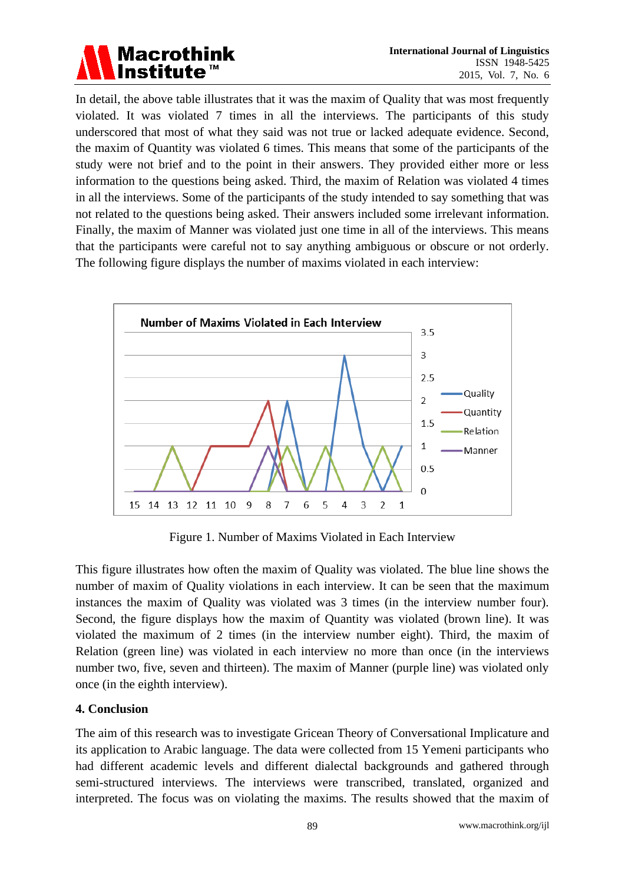

In detail, the above table illustrates that it was the maxim of Quality that was most frequently violated. It was violated 7 times in all the interviews. The participants of this study underscored that most of what they said was not true or lacked adequate evidence. Second, the maxim of Quantity was violated 6 times. This means that some of the participants of the study were not brief and to the point in their answers. They provided either more or less information to the questions being asked. Third, the maxim of Relation was violated 4 times in all the interviews. Some of the participants of the study intended to say something that was not related to the questions being asked. Their answers included some irrelevant information. Finally, the maxim of Manner was violated just one time in all of the interviews. This means that the participants were careful not to say anything ambiguous or obscure or not orderly. The following figure displays the number of maxims violated in each interview:



Figure 1. Number of Maxims Violated in Each Interview

This figure illustrates how often the maxim of Quality was violated. The blue line shows the number of maxim of Quality violations in each interview. It can be seen that the maximum instances the maxim of Quality was violated was 3 times (in the interview number four). Second, the figure displays how the maxim of Quantity was violated (brown line). It was violated the maximum of 2 times (in the interview number eight). Third, the maxim of Relation (green line) was violated in each interview no more than once (in the interviews number two, five, seven and thirteen). The maxim of Manner (purple line) was violated only once (in the eighth interview).

## **4. Conclusion**

The aim of this research was to investigate Gricean Theory of Conversational Implicature and its application to Arabic language. The data were collected from 15 Yemeni participants who had different academic levels and different dialectal backgrounds and gathered through semi-structured interviews. The interviews were transcribed, translated, organized and interpreted. The focus was on violating the maxims. The results showed that the maxim of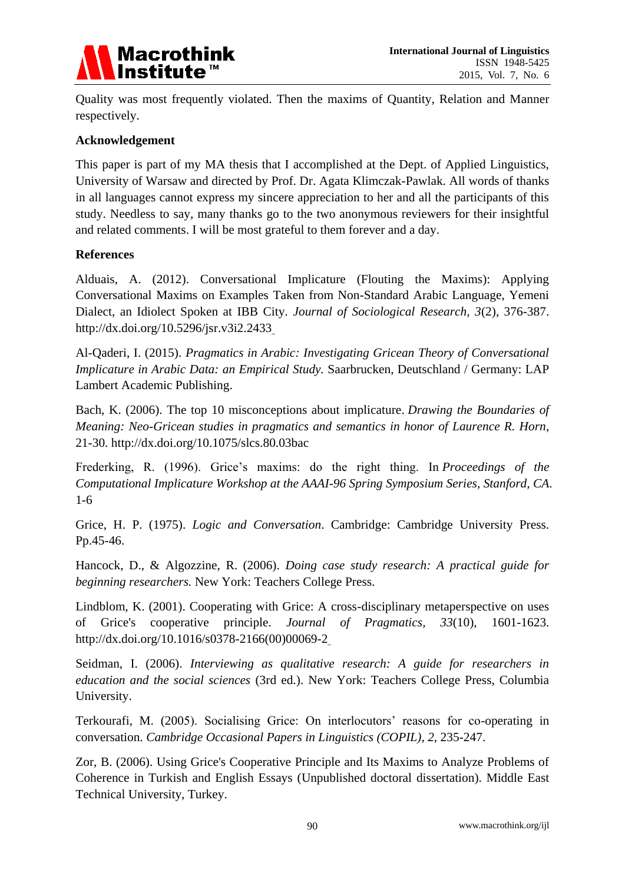

Quality was most frequently violated. Then the maxims of Quantity, Relation and Manner respectively.

## **Acknowledgement**

This paper is part of my MA thesis that I accomplished at the Dept. of Applied Linguistics, University of Warsaw and directed by Prof. Dr. Agata Klimczak-Pawlak. All words of thanks in all languages cannot express my sincere appreciation to her and all the participants of this study. Needless to say, many thanks go to the two anonymous reviewers for their insightful and related comments. I will be most grateful to them forever and a day.

## **References**

Alduais, A. (2012). Conversational Implicature (Flouting the Maxims): Applying Conversational Maxims on Examples Taken from Non-Standard Arabic Language, Yemeni Dialect, an Idiolect Spoken at IBB City. *Journal of Sociological Research, 3*(2), 376-387. http://dx.doi.org/10.5296/jsr.v3i2.2433

Al-Qaderi, I. (2015). *Pragmatics in Arabic: Investigating Gricean Theory of Conversational Implicature in Arabic Data: an Empirical Study.* Saarbrucken, Deutschland / Germany: LAP Lambert Academic Publishing.

Bach, K. (2006). The top 10 misconceptions about implicature. *Drawing the Boundaries of Meaning: Neo-Gricean studies in pragmatics and semantics in honor of Laurence R. Horn*, 21-30. http://dx.doi.org/10.1075/slcs.80.03bac

Frederking, R. (1996). Grice's maxims: do the right thing. In *Proceedings of the Computational Implicature Workshop at the AAAI-96 Spring Symposium Series, Stanford, CA*. 1-6

Grice, H. P. (1975). *Logic and Conversation*. Cambridge: Cambridge University Press. Pp.45-46.

Hancock, D., & Algozzine, R. (2006). *Doing case study research: A practical guide for beginning researchers.* New York: Teachers College Press.

Lindblom, K. (2001). Cooperating with Grice: A cross-disciplinary metaperspective on uses of Grice's cooperative principle. *Journal of Pragmatics, 33*(10), 1601-1623. http://dx.doi.org/10.1016/s0378-2166(00)00069-2

Seidman, I. (2006). *Interviewing as qualitative research: A guide for researchers in education and the social sciences* (3rd ed.). New York: Teachers College Press, Columbia University.

Terkourafi, M. (2005). Socialising Grice: On interlocutors' reasons for co-operating in conversation. *Cambridge Occasional Papers in Linguistics (COPIL)*, *2*, 235-247.

Zor, B. (2006). Using Grice's Cooperative Principle and Its Maxims to Analyze Problems of Coherence in Turkish and English Essays (Unpublished doctoral dissertation). Middle East Technical University, Turkey.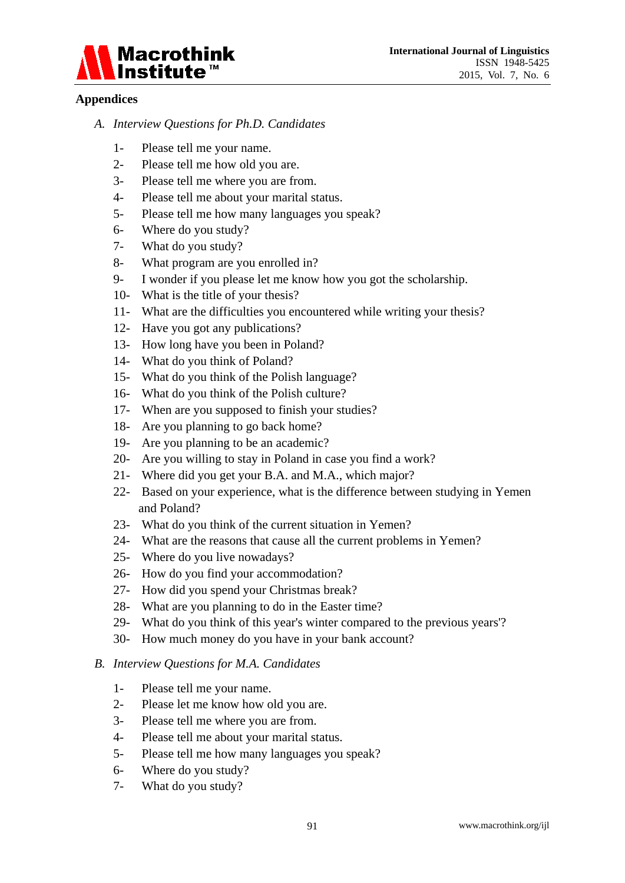

# **Appendices**

- *A. Interview Questions for Ph.D. Candidates*
	- 1- Please tell me your name.
	- 2- Please tell me how old you are.
	- 3- Please tell me where you are from.
	- 4- Please tell me about your marital status.
	- 5- Please tell me how many languages you speak?
	- 6- Where do you study?
	- 7- What do you study?
	- 8- What program are you enrolled in?
	- 9- I wonder if you please let me know how you got the scholarship.
	- 10- What is the title of your thesis?
	- 11- What are the difficulties you encountered while writing your thesis?
	- 12- Have you got any publications?
	- 13- How long have you been in Poland?
	- 14- What do you think of Poland?
	- 15- What do you think of the Polish language?
	- 16- What do you think of the Polish culture?
	- 17- When are you supposed to finish your studies?
	- 18- Are you planning to go back home?
	- 19- Are you planning to be an academic?
	- 20- Are you willing to stay in Poland in case you find a work?
	- 21- Where did you get your B.A. and M.A., which major?
	- 22- Based on your experience, what is the difference between studying in Yemen and Poland?
	- 23- What do you think of the current situation in Yemen?
	- 24- What are the reasons that cause all the current problems in Yemen?
	- 25- Where do you live nowadays?
	- 26- How do you find your accommodation?
	- 27- How did you spend your Christmas break?
	- 28- What are you planning to do in the Easter time?
	- 29- What do you think of this year's winter compared to the previous years'?
	- 30- How much money do you have in your bank account?

## *B. Interview Questions for M.A. Candidates*

- 1- Please tell me your name.
- 2- Please let me know how old you are.
- 3- Please tell me where you are from.
- 4- Please tell me about your marital status.
- 5- Please tell me how many languages you speak?
- 6- Where do you study?
- 7- What do you study?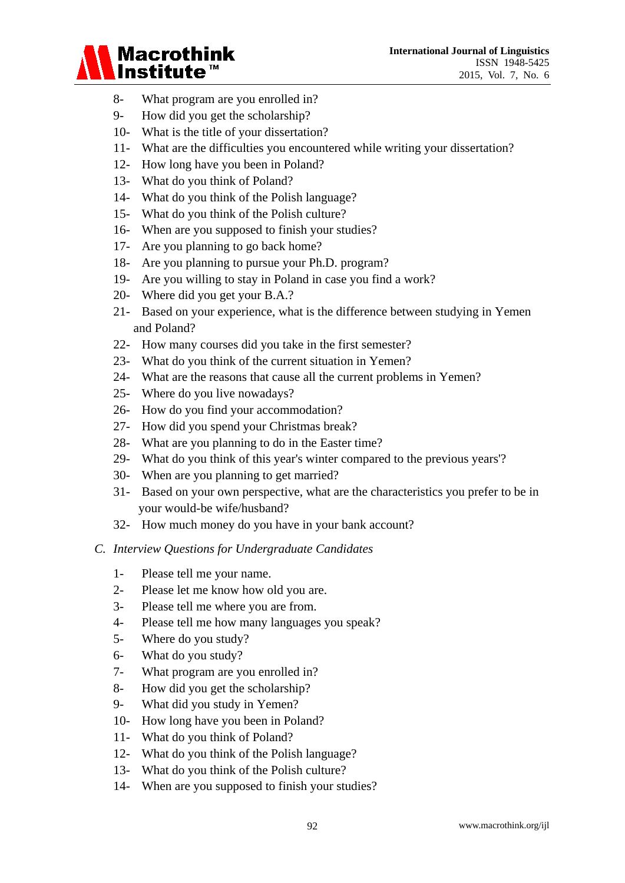

- 8- What program are you enrolled in?
- 9- How did you get the scholarship?
- 10- What is the title of your dissertation?
- 11- What are the difficulties you encountered while writing your dissertation?
- 12- How long have you been in Poland?
- 13- What do you think of Poland?
- 14- What do you think of the Polish language?
- 15- What do you think of the Polish culture?
- 16- When are you supposed to finish your studies?
- 17- Are you planning to go back home?
- 18- Are you planning to pursue your Ph.D. program?
- 19- Are you willing to stay in Poland in case you find a work?
- 20- Where did you get your B.A.?
- 21- Based on your experience, what is the difference between studying in Yemen and Poland?
- 22- How many courses did you take in the first semester?
- 23- What do you think of the current situation in Yemen?
- 24- What are the reasons that cause all the current problems in Yemen?
- 25- Where do you live nowadays?
- 26- How do you find your accommodation?
- 27- How did you spend your Christmas break?
- 28- What are you planning to do in the Easter time?
- 29- What do you think of this year's winter compared to the previous years'?
- 30- When are you planning to get married?
- 31- Based on your own perspective, what are the characteristics you prefer to be in your would-be wife/husband?
- 32- How much money do you have in your bank account?
- *C. Interview Questions for Undergraduate Candidates*
	- 1- Please tell me your name.
	- 2- Please let me know how old you are.
	- 3- Please tell me where you are from.
	- 4- Please tell me how many languages you speak?
	- 5- Where do you study?
	- 6- What do you study?
	- 7- What program are you enrolled in?
	- 8- How did you get the scholarship?
	- 9- What did you study in Yemen?
	- 10- How long have you been in Poland?
	- 11- What do you think of Poland?
	- 12- What do you think of the Polish language?
	- 13- What do you think of the Polish culture?
	- 14- When are you supposed to finish your studies?